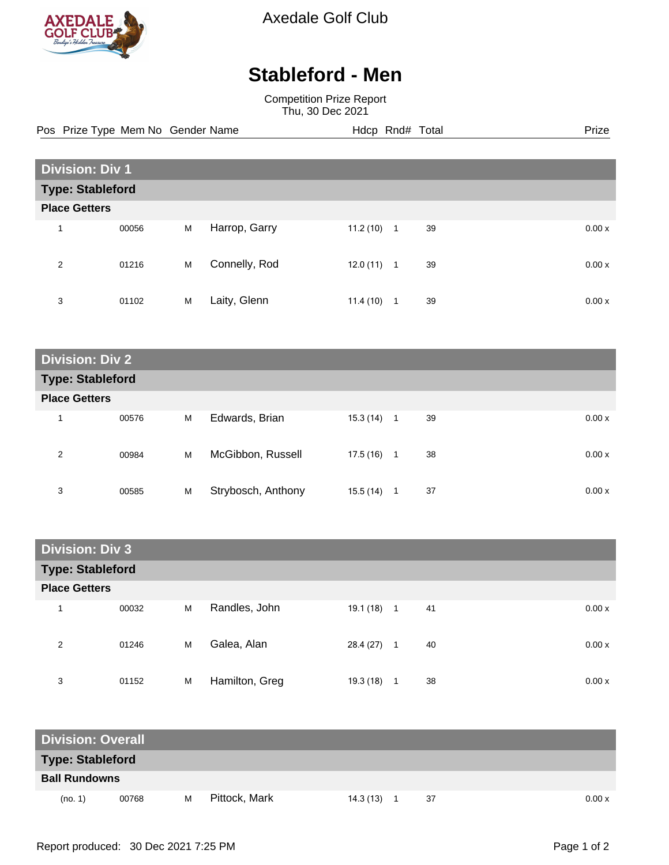

Axedale Golf Club

## **Stableford - Men**

Competition Prize Report Thu, 30 Dec 2021

Pos Prize Type Mem No Gender Name **Hdcp Rnd# Total** Prize Prize

| <b>Division: Div 1</b>  |       |   |               |           |                |              |  |  |
|-------------------------|-------|---|---------------|-----------|----------------|--------------|--|--|
| <b>Type: Stableford</b> |       |   |               |           |                |              |  |  |
| <b>Place Getters</b>    |       |   |               |           |                |              |  |  |
| 1                       | 00056 | M | Harrop, Garry | 11.2(10)  | $\mathbf{1}$   | 39<br>0.00x  |  |  |
| 2                       | 01216 | M | Connelly, Rod | 12.0 (11) | $\overline{1}$ | 39<br>0.00 x |  |  |
| 3                       | 01102 | M | Laity, Glenn  | 11.4(10)  | 1              | 39<br>0.00x  |  |  |

| <b>Division: Div 2</b>  |       |   |                    |           |              |    |  |       |
|-------------------------|-------|---|--------------------|-----------|--------------|----|--|-------|
| <b>Type: Stableford</b> |       |   |                    |           |              |    |  |       |
| <b>Place Getters</b>    |       |   |                    |           |              |    |  |       |
| $\overline{\mathbf{A}}$ | 00576 | M | Edwards, Brian     | 15.3 (14) | 1            | 39 |  | 0.00x |
| 2                       | 00984 | M | McGibbon, Russell  | 17.5 (16) | $\mathbf{1}$ | 38 |  | 0.00x |
| 3                       | 00585 | M | Strybosch, Anthony | 15.5 (14) | 1            | 37 |  | 0.00x |

| <b>Division: Div 3</b>  |       |   |                |           |                |    |  |       |
|-------------------------|-------|---|----------------|-----------|----------------|----|--|-------|
| <b>Type: Stableford</b> |       |   |                |           |                |    |  |       |
| <b>Place Getters</b>    |       |   |                |           |                |    |  |       |
| 4                       | 00032 | M | Randles, John  | 19.1 (18) | $\overline{1}$ | 41 |  | 0.00x |
| 2                       | 01246 | M | Galea, Alan    | 28.4 (27) | $\overline{1}$ | 40 |  | 0.00x |
| 3                       | 01152 | M | Hamilton, Greg | 19.3 (18) | 1              | 38 |  | 0.00x |

| <b>Division: Overall</b> |       |   |               |           |  |    |  |        |
|--------------------------|-------|---|---------------|-----------|--|----|--|--------|
| Type: Stableford         |       |   |               |           |  |    |  |        |
| <b>Ball Rundowns</b>     |       |   |               |           |  |    |  |        |
| (no. 1)                  | 00768 | M | Pittock, Mark | 14.3 (13) |  | 37 |  | 0.00 x |